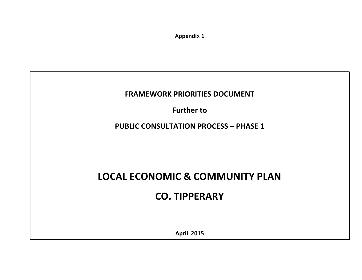**Appendix 1**

**FRAMEWORK PRIORITIES DOCUMENT**

**Further to**

**PUBLIC CONSULTATION PROCESS – PHASE 1**

**LOCAL ECONOMIC & COMMUNITY PLAN**

**CO. TIPPERARY**

**April 2015**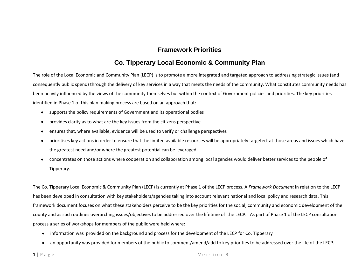## **Framework Priorities**

# **Co. Tipperary Local Economic & Community Plan**

The role of the Local Economic and Community Plan (LECP) is to promote a more integrated and targeted approach to addressing strategic issues (and consequently public spend) through the delivery of key services in a way that meets the needs of the community. What constitutes community needs has been heavily influenced by the views of the community themselves but within the context of Government policies and priorities. The key priorities identified in Phase 1 of this plan making process are based on an approach that:

- supports the policy requirements of Government and its operational bodies  $\bullet$
- provides clarity as to what are the key issues from the citizens perspective  $\bullet$
- ensures that, where available, evidence will be used to verify or challenge perspectives  $\bullet$
- prioritises key actions in order to ensure that the limited available resources will be appropriately targeted at those areas and issues which have  $\bullet$ the greatest need and/or where the greatest potential can be leveraged
- concentrates on those actions where cooperation and collaboration among local agencies would deliver better services to the people of  $\bullet$ Tipperary.

The Co. Tipperary Local Economic & Community Plan (LECP) is currently at Phase 1 of the LECP process. A *Framework Document* in relation to the LECP has been developed in consultation with key stakeholders/agencies taking into account relevant national and local policy and research data. This framework document focuses on what these stakeholders perceive to be the key priorities for the social, community and economic development of the county and as such outlines overarching issues/objectives to be addressed over the lifetime of the LECP. As part of Phase 1 of the LECP consultation process a series of workshops for members of the public were held where:

- information was provided on the background and process for the development of the LECP for Co. Tipperary  $\bullet$
- an opportunity was provided for members of the public to comment/amend/add to key priorities to be addressed over the life of the LECP.  $\bullet$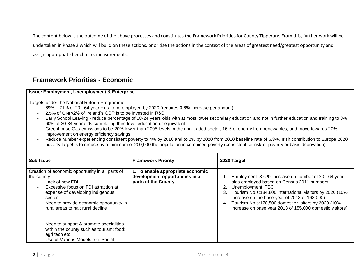The content below is the outcome of the above processes and constitutes the Framework Priorities for County Tipperary. From this, further work will be undertaken in Phase 2 which will build on these actions, prioritise the actions in the context of the areas of greatest need/greatest opportunity and assign appropriate benchmark measurements.

# **Framework Priorities - Economic**

#### **Issue: Employment, Unemployment & Enterprise**

- 69% 71% of 20 64 year olds to be employed by 2020 (requires 0.6% increase per annum)
- 2.5% of GNP/2% of Ireland's GDP is to be invested in R&D
- Early School Leaving reduce percentage of 18-24 years olds with at most lower secondary education and not in further education and training to 8%
- 60% of 30-34 year olds completing third level education or equivalent
- Greenhouse Gas emissions to be 20% lower than 2005 levels in the non-traded sector; 16% of energy from renewables; and move towards 20% improvement on energy efficiency savings
- Reduce number experiencing consistent poverty to 4% by 2016 and to 2% by 2020 from 2010 baseline rate of 6.3%. Irish contribution to Europe 2020 poverty target is to reduce by a minimum of 200,000 the population in combined poverty (consistent, at-risk-of-poverty or basic deprivation).

| Sub-Issue                                                                                                                                                                                                                                                                                                                                                                   | <b>Framework Priority</b>                                                                    | 2020 Target                                                                                                                                                                                                                                                                                                                                                            |
|-----------------------------------------------------------------------------------------------------------------------------------------------------------------------------------------------------------------------------------------------------------------------------------------------------------------------------------------------------------------------------|----------------------------------------------------------------------------------------------|------------------------------------------------------------------------------------------------------------------------------------------------------------------------------------------------------------------------------------------------------------------------------------------------------------------------------------------------------------------------|
| Creation of economic opportunity in all parts of<br>the county<br>Lack of new FDI<br>$\blacksquare$<br>Excessive focus on FDI attraction at<br>$\overline{\phantom{0}}$<br>expense of developing indigenous<br>sector<br>Need to provide economic opportunity in<br>$\blacksquare$<br>rural areas to halt rural decline<br>Need to support & promote specialities<br>$\sim$ | 1. To enable appropriate economic<br>development opportunities in all<br>parts of the County | Employment: 3.6 % increase on number of 20 - 64 year<br>olds employed based on Census 2011 numbers.<br>Unemployment: TBC<br>Tourism No.s:184,800 international visitors by 2020 (10%<br>3.<br>increase on the base year of 2013 of 168,000).<br>Tourism No.s:170,500 domestic visitors by 2020 (10%<br>4.<br>increase on base year 2013 of 155,000 domestic visitors). |
| within the county such as tourism; food;<br>agri tech etc<br>Use of Various Models e.g. Social<br>$\blacksquare$                                                                                                                                                                                                                                                            |                                                                                              |                                                                                                                                                                                                                                                                                                                                                                        |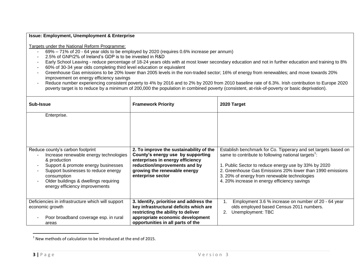- 69% 71% of 20 64 year olds to be employed by 2020 (requires 0.6% increase per annum)
- 2.5% of GNP/2% of Ireland's GDP is to be invested in R&D
- Early School Leaving reduce percentage of 18-24 years olds with at most lower secondary education and not in further education and training to 8%
- 60% of 30-34 year olds completing third level education or equivalent
- Greenhouse Gas emissions to be 20% lower than 2005 levels in the non-traded sector; 16% of energy from renewables; and move towards 20% improvement on energy efficiency savings
- Reduce number experiencing consistent poverty to 4% by 2016 and to 2% by 2020 from 2010 baseline rate of 6.3%. Irish contribution to Europe 2020 poverty target is to reduce by a minimum of 200,000 the population in combined poverty (consistent, at-risk-of-poverty or basic deprivation).

| <b>Sub-Issue</b>                                                                                                                                                                                                                                                   | <b>Framework Priority</b>                                                                                                                                                                              | 2020 Target                                                                                                                                                                                                                                                                                                                                            |
|--------------------------------------------------------------------------------------------------------------------------------------------------------------------------------------------------------------------------------------------------------------------|--------------------------------------------------------------------------------------------------------------------------------------------------------------------------------------------------------|--------------------------------------------------------------------------------------------------------------------------------------------------------------------------------------------------------------------------------------------------------------------------------------------------------------------------------------------------------|
| Enterprise.                                                                                                                                                                                                                                                        |                                                                                                                                                                                                        |                                                                                                                                                                                                                                                                                                                                                        |
| Reduce county's carbon footprint<br>Increase renewable energy technologies<br>& production<br>Support & promote energy businesses<br>Support businesses to reduce energy<br>consumption<br>Older buildings & dwellings requiring<br>energy efficiency improvements | 2. To improve the sustainability of the<br>County's energy use by supporting<br>enterprises in energy efficiency<br>reduction/improvements and by<br>growing the renewable energy<br>enterprise sector | Establish benchmark for Co. Tipperary and set targets based on<br>same to contribute to following national targets <sup>1</sup> :<br>1. Public Sector to reduce energy use by 33% by 2020<br>2. Greenhouse Gas Emissions 20% lower than 1990 emissions<br>3. 20% of energy from renewable technologies<br>4. 20% increase in energy efficiency savings |
| Deficiencies in infrastructure which will support<br>economic growth<br>Poor broadband coverage esp. in rural<br>areas                                                                                                                                             | 3. Identify, prioritise and address the<br>key infrastructural deficits which are<br>restricting the ability to deliver<br>appropriate economic development<br>opportunities in all parts of the       | Employment 3.6 % increase on number of 20 - 64 year<br>olds employed based Census 2011 numbers.<br>Unemployment: TBC<br>2.                                                                                                                                                                                                                             |

<sup>1&</sup>lt;br><sup>1</sup> New methods of calculation to be introduced at the end of 2015.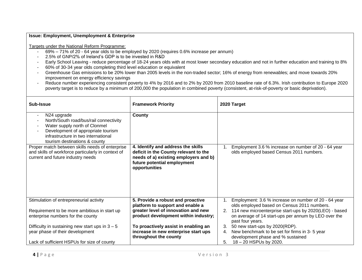- 69% 71% of 20 64 year olds to be employed by 2020 (requires 0.6% increase per annum)
- 2.5% of GNP/2% of Ireland's GDP is to be invested in R&D
- Early School Leaving reduce percentage of 18-24 years olds with at most lower secondary education and not in further education and training to 8%
- 60% of 30-34 year olds completing third level education or equivalent
- Greenhouse Gas emissions to be 20% lower than 2005 levels in the non-traded sector; 16% of energy from renewables; and move towards 20% improvement on energy efficiency savings
- Reduce number experiencing consistent poverty to 4% by 2016 and to 2% by 2020 from 2010 baseline rate of 6.3%. Irish contribution to Europe 2020 poverty target is to reduce by a minimum of 200,000 the population in combined poverty (consistent, at-risk-of-poverty or basic deprivation).

| Sub-Issue                                                                                                                                                                                                                        | <b>Framework Priority</b>                                                                                                                                            | 2020 Target                                                                                                                              |
|----------------------------------------------------------------------------------------------------------------------------------------------------------------------------------------------------------------------------------|----------------------------------------------------------------------------------------------------------------------------------------------------------------------|------------------------------------------------------------------------------------------------------------------------------------------|
| N24 upgrade<br>$\overline{\phantom{a}}$<br>North/South road/bus/rail connectivity<br>Water supply north of Clonmel<br>Development of appropriate tourism<br>infrastructure in two international<br>tourism destinations & county | County                                                                                                                                                               |                                                                                                                                          |
| Proper match between skills needs of enterprise<br>and skills of workforce particularly in context of<br>current and future industry needs                                                                                       | 4. Identify and address the skills<br>deficit in the County relevant to the<br>needs of a) existing employers and b)<br>future potential employment<br>opportunities | Employment 3.6 % increase on number of 20 - 64 year<br>olds employed based Census 2011 numbers.                                          |
| Stimulation of entrepreneurial activity                                                                                                                                                                                          | 5. Provide a robust and proactive<br>platform to support and enable a                                                                                                | Employment: 3.6 % increase on number of 20 - 64 year<br>olds employed based on Census 2011 numbers.                                      |
| Requirement to be more ambitious in start up<br>enterprise numbers for the county                                                                                                                                                | greater level of innovation and new<br>product development within industry;                                                                                          | 114 new microenterprise start-ups by 2020(LEO) - based<br>2.<br>on average of 14 start-ups per annum by LEO over the<br>past four years. |
| Difficulty in sustaining new start ups in $3 - 5$                                                                                                                                                                                | To proactively assist in enabling an                                                                                                                                 | 50 new start-ups by 2020(RDP).<br>3.                                                                                                     |
| year phase of their development                                                                                                                                                                                                  | increase in new enterprise start ups<br>throughout the county                                                                                                        | New benchmark to be set for firms in 3-5 year<br>4.<br>development phase and % sustained                                                 |
| Lack of sufficient HSPUs for size of county                                                                                                                                                                                      |                                                                                                                                                                      | 18 - 20 HSPUs by 2020.<br>5.                                                                                                             |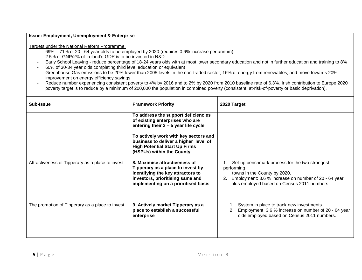- 69% 71% of 20 64 year olds to be employed by 2020 (requires 0.6% increase per annum)
- 2.5% of GNP/2% of Ireland's GDP is to be invested in R&D
- Early School Leaving reduce percentage of 18-24 years olds with at most lower secondary education and not in further education and training to 8%
- 60% of 30-34 year olds completing third level education or equivalent
- Greenhouse Gas emissions to be 20% lower than 2005 levels in the non-traded sector; 16% of energy from renewables; and move towards 20% improvement on energy efficiency savings
- Reduce number experiencing consistent poverty to 4% by 2016 and to 2% by 2020 from 2010 baseline rate of 6.3%. Irish contribution to Europe 2020 poverty target is to reduce by a minimum of 200,000 the population in combined poverty (consistent, at-risk-of-poverty or basic deprivation).

| Sub-Issue                                        | <b>Framework Priority</b>                                                                                                                                                          | 2020 Target                                                                                                                                                                                               |
|--------------------------------------------------|------------------------------------------------------------------------------------------------------------------------------------------------------------------------------------|-----------------------------------------------------------------------------------------------------------------------------------------------------------------------------------------------------------|
|                                                  | To address the support deficiencies<br>of existing enterprises who are<br>entering their $3 - 5$ year life cycle                                                                   |                                                                                                                                                                                                           |
|                                                  | To actively work with key sectors and<br>business to deliver a higher level of<br><b>High Potential Start Up Firms</b><br>(HSPUs) within the County                                |                                                                                                                                                                                                           |
| Attractiveness of Tipperary as a place to invest | 8. Maximise attractiveness of<br>Tipperary as a place to invest by<br>identifying the key attractors to<br>investors, prioritising same and<br>implementing on a prioritised basis | Set up benchmark process for the two strongest<br>performing<br>towns in the County by 2020.<br>Employment: 3.6 % increase on number of 20 - 64 year<br>2.<br>olds employed based on Census 2011 numbers. |
| The promotion of Tipperary as a place to invest  | 9. Actively market Tipperary as a<br>place to establish a successful<br>enterprise                                                                                                 | System in place to track new investments<br>Employment: 3.6 % increase on number of 20 - 64 year<br>olds employed based on Census 2011 numbers.                                                           |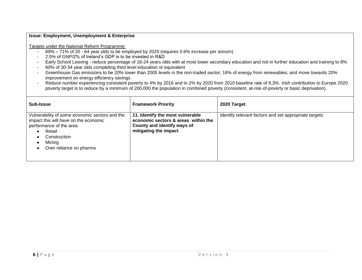- 69% 71% of 20 64 year olds to be employed by 2020 (requires 0.6% increase per annum)
- 2.5% of GNP/2% of Ireland's GDP is to be invested in R&D
- Early School Leaving reduce percentage of 18-24 years olds with at most lower secondary education and not in further education and training to 8%
- 60% of 30-34 year olds completing third level education or equivalent
- Greenhouse Gas emissions to be 20% lower than 2005 levels in the non-traded sector; 16% of energy from renewables; and move towards 20% improvement on energy efficiency savings
- Reduce number experiencing consistent poverty to 4% by 2016 and to 2% by 2020 from 2010 baseline rate of 6.3%. Irish contribution to Europe 2020 poverty target is to reduce by a minimum of 200,000 the population in combined poverty (consistent, at-risk-of-poverty or basic deprivation).

| Sub-Issue                                                                                                                                                                         | <b>Framework Priority</b>                                                                                                       | 2020 Target                                           |
|-----------------------------------------------------------------------------------------------------------------------------------------------------------------------------------|---------------------------------------------------------------------------------------------------------------------------------|-------------------------------------------------------|
| Vulnerability of some economic sectors and the<br>impact this will have on the economic<br>performance of the area<br>Retail<br>Construction<br>Mining<br>Over reliance on pharma | 11. Identify the most vulnerable<br>economic sectors & areas within the<br>County and identify ways of<br>mitigating the impact | Identify relevant factors and set appropriate targets |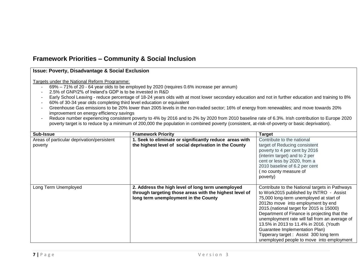# **Framework Priorities – Community & Social Inclusion**

#### **Issue: Poverty, Disadvantage & Social Exclusion**

- 69% 71% of 20 64 year olds to be employed by 2020 (requires 0.6% increase per annum)
- 2.5% of GNP/2% of Ireland's GDP is to be invested in R&D
- Early School Leaving reduce percentage of 18-24 years olds with at most lower secondary education and not in further education and training to 8%
- 60% of 30-34 year olds completing third level education or equivalent
- Greenhouse Gas emissions to be 20% lower than 2005 levels in the non-traded sector; 16% of energy from renewables; and move towards 20% improvement on energy efficiency savings
- Reduce number experiencing consistent poverty to 4% by 2016 and to 2% by 2020 from 2010 baseline rate of 6.3%. Irish contribution to Europe 2020 poverty target is to reduce by a minimum of 200,000 the population in combined poverty (consistent, at-risk-of-poverty or basic deprivation).

| Sub-Issue                                  | <b>Framework Priority</b>                               | <b>Target</b>                                  |
|--------------------------------------------|---------------------------------------------------------|------------------------------------------------|
| Areas of particular deprivation/persistent | 1. Seek to eliminate or significantly reduce areas with | Contribute to the national                     |
| poverty                                    | the highest level of social deprivation in the County   | target of Reducing consistent                  |
|                                            |                                                         | poverty to 4 per cent by 2016                  |
|                                            |                                                         | (interim target) and to 2 per                  |
|                                            |                                                         | cent or less by 2020, from a                   |
|                                            |                                                         | 2010 baseline of 6.2 per cent                  |
|                                            |                                                         | (no county measure of                          |
|                                            |                                                         | poverty)                                       |
|                                            |                                                         |                                                |
| Long Term Unemployed                       | 2. Address the high level of long term unemployed       | Contribute to the National targets in Pathways |
|                                            | through targeting those areas with the highest level of | to Work2015 published by INTRO - Assist        |
|                                            | long term unemployment in the County                    | 75,000 long-term unemployed at start of        |
|                                            |                                                         | 2012to move into employment by end             |
|                                            |                                                         | 2015.(national target for 2015 is 15000)       |
|                                            |                                                         | Department of Finance is projecting that the   |
|                                            |                                                         | unemployment rate will fall from an average of |
|                                            |                                                         | 13.5% in 2013 to 11.4% in 2016. (Youth         |
|                                            |                                                         | Guarantee Implementation Plan)                 |
|                                            |                                                         | Tipperary target: Assist 300 long term         |
|                                            |                                                         | unemployed people to move into employment      |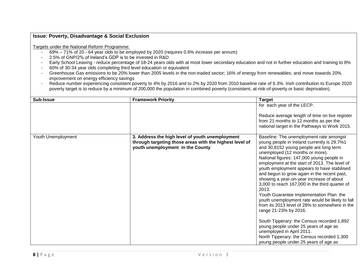- 69% 71% of 20 64 year olds to be employed by 2020 (requires 0.6% increase per annum)
- 2.5% of GNP/2% of Ireland's GDP is to be invested in R&D
- Early School Leaving reduce percentage of 18-24 years olds with at most lower secondary education and not in further education and training to 8%
- 60% of 30-34 year olds completing third level education or equivalent
- Greenhouse Gas emissions to be 20% lower than 2005 levels in the non-traded sector; 16% of energy from renewables; and move towards 20% improvement on energy efficiency savings
- Reduce number experiencing consistent poverty to 4% by 2016 and to 2% by 2020 from 2010 baseline rate of 6.3%. Irish contribution to Europe 2020 poverty target is to reduce by a minimum of 200,000 the population in combined poverty (consistent, at-risk-of-poverty or basic deprivation).

| Sub-Issue          | <b>Framework Priority</b>                                                                                                                      | <b>Target</b>                                                                                                                                                                                                                                                                                                                                                                                                                                                                                                                                                                                                                                                                                                                                                                                                                                               |
|--------------------|------------------------------------------------------------------------------------------------------------------------------------------------|-------------------------------------------------------------------------------------------------------------------------------------------------------------------------------------------------------------------------------------------------------------------------------------------------------------------------------------------------------------------------------------------------------------------------------------------------------------------------------------------------------------------------------------------------------------------------------------------------------------------------------------------------------------------------------------------------------------------------------------------------------------------------------------------------------------------------------------------------------------|
|                    |                                                                                                                                                | for each year of the LECP.<br>Reduce average length of time on live register<br>from 21 months to 12 months as per the<br>national target in the Pathways to Work 2015.                                                                                                                                                                                                                                                                                                                                                                                                                                                                                                                                                                                                                                                                                     |
| Youth Unemployment | 3. Address the high level of youth unemployment<br>through targeting those areas with the highest level of<br>youth unemployment in the County | Baseline: The unemployment rate amongst<br>young people in Ireland currently is 29.7%1<br>and 30,8152 young people are long term<br>unemployed (12 months or more).<br>National figures: 147,000 young people in<br>employment at the start of 2013. The level of<br>youth employment appears to have stabilised<br>and begun to grow again in the recent past,<br>showing a year-on-year increase of about<br>3,000 to reach 167,000 in the third quarter of<br>2013.<br>Youth Guarantee Implementation Plan: the<br>youth unemployment rate would be likely to fall<br>from its 2013 level of 28% to somewhere in the<br>range 21-23% by 2016.<br>South Tipperary: the Census recorded 1,892<br>young people under 25 years of age as<br>unemployed in April 2011.<br>North Tipperary: the Census recorded 1,300<br>young people under 25 years of age as |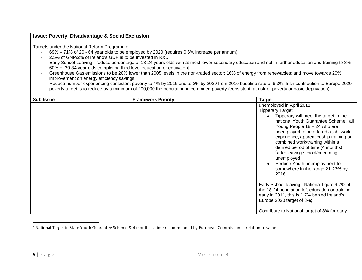Targets under the National Reform Programme:

- 69% 71% of 20 64 year olds to be employed by 2020 (requires 0.6% increase per annum)
- 2.5% of GNP/2% of Ireland's GDP is to be invested in R&D
- Early School Leaving reduce percentage of 18-24 years olds with at most lower secondary education and not in further education and training to 8%
- 60% of 30-34 year olds completing third level education or equivalent
- Greenhouse Gas emissions to be 20% lower than 2005 levels in the non-traded sector; 16% of energy from renewables; and move towards 20% improvement on energy efficiency savings
- Reduce number experiencing consistent poverty to 4% by 2016 and to 2% by 2020 from 2010 baseline rate of 6.3%. Irish contribution to Europe 2020 poverty target is to reduce by a minimum of 200,000 the population in combined poverty (consistent, at-risk-of-poverty or basic deprivation).

| <b>Sub-Issue</b> | <b>Framework Priority</b> | <b>Target</b>                                                                                                                                                                                                                                                                                                                                                                                                                                                                          |
|------------------|---------------------------|----------------------------------------------------------------------------------------------------------------------------------------------------------------------------------------------------------------------------------------------------------------------------------------------------------------------------------------------------------------------------------------------------------------------------------------------------------------------------------------|
|                  |                           | unemployed in April 2011<br><b>Tipperary Target:</b><br>Tipperary will meet the target in the<br>national Youth Guarantee Scheme: all<br>Young People $18 - 24$ who are<br>unemployed to be offered a job; work<br>experience; apprenticeship training or<br>combined work/training within a<br>defined period of time (4 months)<br><sup>2</sup> after leaving school/becoming<br>unemployed<br>Reduce Youth unemployment to<br>$\bullet$<br>somewhere in the range 21-23% by<br>2016 |
|                  |                           | Early School leaving: National figure 9.7% of<br>the 18-24 population left education or training<br>early in 2011, this is 1.7% behind Ireland's<br>Europe 2020 target of 8%;<br>Contribute to National target of 8% for early                                                                                                                                                                                                                                                         |

<sup>&</sup>lt;sup>2</sup> National Target in State Youth Guarantee Scheme & 4 months is time recommended by European Commission in relation to same

 $\overline{\phantom{a}}$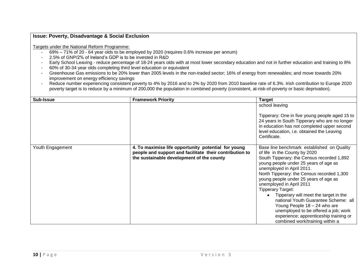- 69% 71% of 20 64 year olds to be employed by 2020 (requires 0.6% increase per annum)
- 2.5% of GNP/2% of Ireland's GDP is to be invested in R&D
- Early School Leaving reduce percentage of 18-24 years olds with at most lower secondary education and not in further education and training to 8%
- 60% of 30-34 year olds completing third level education or equivalent
- Greenhouse Gas emissions to be 20% lower than 2005 levels in the non-traded sector; 16% of energy from renewables; and move towards 20% improvement on energy efficiency savings
- Reduce number experiencing consistent poverty to 4% by 2016 and to 2% by 2020 from 2010 baseline rate of 6.3%. Irish contribution to Europe 2020 poverty target is to reduce by a minimum of 200,000 the population in combined poverty (consistent, at-risk-of-poverty or basic deprivation).

| Sub-Issue        | <b>Framework Priority</b>                                                                                                                                   | <b>Target</b>                                                                                                                                                                                                                                                                                                                                                                                                                                                                                                                                                                        |
|------------------|-------------------------------------------------------------------------------------------------------------------------------------------------------------|--------------------------------------------------------------------------------------------------------------------------------------------------------------------------------------------------------------------------------------------------------------------------------------------------------------------------------------------------------------------------------------------------------------------------------------------------------------------------------------------------------------------------------------------------------------------------------------|
|                  |                                                                                                                                                             | school leaving<br>Tipperary: One in five young people aged 15 to<br>24 years in South Tipperary who are no longer<br>in education has not completed upper second<br>level education, i.e. obtained the Leaving<br>Certificate.                                                                                                                                                                                                                                                                                                                                                       |
| Youth Engagement | 4. To maximise life opportunity potential for young<br>people and support and facilitate their contribution to<br>the sustainable development of the county | Base line benchmark established on Quality<br>of life in the County by 2020<br>South Tipperary: the Census recorded 1,892<br>young people under 25 years of age as<br>unemployed in April 2011.<br>North Tipperary: the Census recorded 1,300<br>young people under 25 years of age as<br>unemployed in April 2011<br><b>Tipperary Target:</b><br>Tipperary will meet the target in the<br>national Youth Guarantee Scheme: all<br>Young People 18 - 24 who are<br>unemployed to be offered a job; work<br>experience; apprenticeship training or<br>combined work/training within a |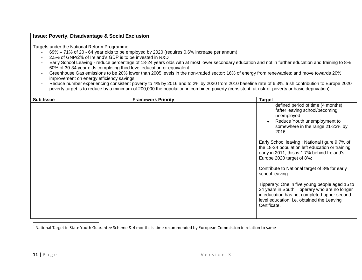Targets under the National Reform Programme:

- 69% 71% of 20 64 year olds to be employed by 2020 (requires 0.6% increase per annum)
- 2.5% of GNP/2% of Ireland's GDP is to be invested in R&D
- Early School Leaving reduce percentage of 18-24 years olds with at most lower secondary education and not in further education and training to 8%
- 60% of 30-34 year olds completing third level education or equivalent
- Greenhouse Gas emissions to be 20% lower than 2005 levels in the non-traded sector; 16% of energy from renewables; and move towards 20% improvement on energy efficiency savings
- Reduce number experiencing consistent poverty to 4% by 2016 and to 2% by 2020 from 2010 baseline rate of 6.3%. Irish contribution to Europe 2020 poverty target is to reduce by a minimum of 200,000 the population in combined poverty (consistent, at-risk-of-poverty or basic deprivation).

| Sub-Issue | <b>Framework Priority</b> | <b>Target</b>                                                                                                                                                                                                |
|-----------|---------------------------|--------------------------------------------------------------------------------------------------------------------------------------------------------------------------------------------------------------|
|           |                           | defined period of time (4 months)<br><sup>3</sup> after leaving school/becoming<br>unemployed<br>Reduce Youth unemployment to<br>$\bullet$<br>somewhere in the range 21-23% by<br>2016                       |
|           |                           | Early School leaving: National figure 9.7% of<br>the 18-24 population left education or training<br>early in 2011, this is 1.7% behind Ireland's<br>Europe 2020 target of 8%;                                |
|           |                           | Contribute to National target of 8% for early<br>school leaving                                                                                                                                              |
|           |                           | Tipperary: One in five young people aged 15 to<br>24 years in South Tipperary who are no longer<br>in education has not completed upper second<br>level education, i.e. obtained the Leaving<br>Certificate. |

<sup>&</sup>lt;sup>3</sup> National Target in State Youth Guarantee Scheme & 4 months is time recommended by European Commission in relation to same

 $\overline{\phantom{a}}$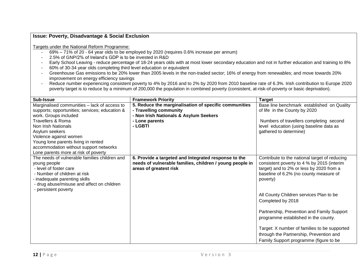- 69% 71% of 20 64 year olds to be employed by 2020 (requires 0.6% increase per annum)
- 2.5% of GNP/2% of Ireland's GDP is to be invested in R&D
- Early School Leaving reduce percentage of 18-24 years olds with at most lower secondary education and not in further education and training to 8%
- 60% of 30-34 year olds completing third level education or equivalent
- Greenhouse Gas emissions to be 20% lower than 2005 levels in the non-traded sector; 16% of energy from renewables; and move towards 20% improvement on energy efficiency savings
- Reduce number experiencing consistent poverty to 4% by 2016 and to 2% by 2020 from 2010 baseline rate of 6.3%. Irish contribution to Europe 2020 poverty target is to reduce by a minimum of 200,000 the population in combined poverty (consistent, at-risk-of-poverty or basic deprivation).

| Sub-Issue                                                                                                                                                                                                                                                                                                                                           | <b>Framework Priority</b>                                                                                                                              | <b>Target</b>                                                                                                                                                                                                                                                                                                                                                                                                                                                                            |
|-----------------------------------------------------------------------------------------------------------------------------------------------------------------------------------------------------------------------------------------------------------------------------------------------------------------------------------------------------|--------------------------------------------------------------------------------------------------------------------------------------------------------|------------------------------------------------------------------------------------------------------------------------------------------------------------------------------------------------------------------------------------------------------------------------------------------------------------------------------------------------------------------------------------------------------------------------------------------------------------------------------------------|
| Marginalised communities - lack of access to<br>supports; opportunities; services; education &<br>work. Groups included<br><b>Travellers &amp; Roma</b><br>Non Irish Nationals<br>Asylum seekers<br>Violence against women<br>Young lone parents living in rented<br>accommodation without support networks<br>Lone parents more at risk of poverty | 5. Reduce the marginalisation of specific communities<br>- Travelling community<br>- Non Irish Nationals & Asylum Seekers<br>- Lone parents<br>- LGBTI | Base line benchmark established on Quality<br>of life in the County by 2020<br>Numbers of travellers completing second<br>level education (using baseline data as<br>gathered to determine)                                                                                                                                                                                                                                                                                              |
| The needs of vulnerable families children and<br>young people<br>- level of foster care<br>- Number of children at risk<br>inadequate parenting skills<br>- drug abuse/misuse and affect on children<br>- persistent poverty                                                                                                                        | 6. Provide a targeted and Integrated response to the<br>needs of vulnerable families, children / young people in<br>areas of greatest risk             | Contribute to the national target of reducing<br>consistent poverty to 4 % by 2015 (interim<br>target) and to 2% or less by 2020 from a<br>baseline of 6.2% (no county measure of<br>poverty)<br>All County Children services Plan to be<br>Completed by 2018<br>Partnership, Prevention and Family Support<br>programme established in the county.<br>Target: X number of families to be supported<br>through the Partnership, Prevention and<br>Family Support programme (figure to be |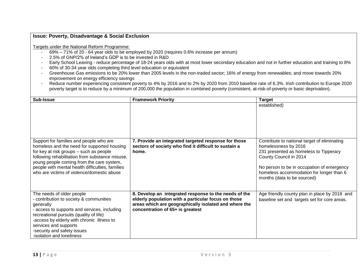- 69% 71% of 20 64 year olds to be employed by 2020 (requires 0.6% increase per annum)
- 2.5% of GNP/2% of Ireland's GDP is to be invested in R&D
- Early School Leaving reduce percentage of 18-24 years olds with at most lower secondary education and not in further education and training to 8%
- 60% of 30-34 year olds completing third level education or equivalent
- Greenhouse Gas emissions to be 20% lower than 2005 levels in the non-traded sector; 16% of energy from renewables; and move towards 20% improvement on energy efficiency savings
- Reduce number experiencing consistent poverty to 4% by 2016 and to 2% by 2020 from 2010 baseline rate of 6.3%. Irish contribution to Europe 2020 poverty target is to reduce by a minimum of 200,000 the population in combined poverty (consistent, at-risk-of-poverty or basic deprivation).

| Sub-Issue                                                                                                                                                                                                                                                                                                                           | <b>Framework Priority</b>                                                                                                                                                                                 | <b>Target</b>                                                                                                                                                                                                                                                     |
|-------------------------------------------------------------------------------------------------------------------------------------------------------------------------------------------------------------------------------------------------------------------------------------------------------------------------------------|-----------------------------------------------------------------------------------------------------------------------------------------------------------------------------------------------------------|-------------------------------------------------------------------------------------------------------------------------------------------------------------------------------------------------------------------------------------------------------------------|
|                                                                                                                                                                                                                                                                                                                                     |                                                                                                                                                                                                           | established)                                                                                                                                                                                                                                                      |
| Support for families and people who are<br>homeless and the need for supported housing<br>for key at risk groups - such as people<br>following rehabilitation from substance misuse,<br>young people coming from the care system,<br>people with mental health difficulties, families<br>who are victims of violence/domestic abuse | 7. Provide an integrated targeted response for those<br>sectors of society who find it difficult to sustain a<br>home.                                                                                    | Contribute to national target of eliminating<br>homelessness by 2016<br>231 presented as homeless to Tipperary<br>County Council in 2014<br>No person to be in occupation of emergency<br>homeless accommodation for longer than 6<br>months (data to be sourced) |
| The needs of older people<br>- contribution to society & communities<br>generally<br>- access to supports and services, including<br>recreational pursuits (quality of life)<br>-access by elderly with chronic illness to<br>services and supports<br>-security and safety issues<br>-isolation and loneliness                     | 8. Develop an integrated response to the needs of the<br>elderly population with a particular focus on those<br>areas which are geographically isolated and where the<br>concentration of 65+ is greatest | Age friendly county plan in place by 2018 and<br>baseline set and targets set for core areas.                                                                                                                                                                     |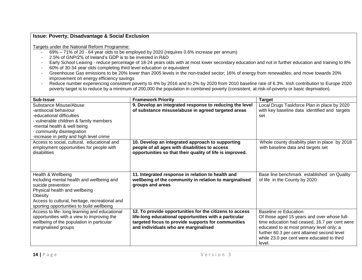- 69% 71% of 20 64 year olds to be employed by 2020 (requires 0.6% increase per annum)
- 2.5% of GNP/2% of Ireland's GDP is to be invested in R&D
- Early School Leaving reduce percentage of 18-24 years olds with at most lower secondary education and not in further education and training to 8%
- 60% of 30-34 year olds completing third level education or equivalent
- Greenhouse Gas emissions to be 20% lower than 2005 levels in the non-traded sector; 16% of energy from renewables; and move towards 20% improvement on energy efficiency savings
- Reduce number experiencing consistent poverty to 4% by 2016 and to 2% by 2020 from 2010 baseline rate of 6.3%. Irish contribution to Europe 2020 poverty target is to reduce by a minimum of 200,000 the population in combined poverty (consistent, at-risk-of-poverty or basic deprivation).

| Sub-Issue                                                                                                                                                                                                                        | <b>Framework Priority</b>                                                                                                                                                                                      | <b>Target</b>                                                                                                                                                                                                                                                              |
|----------------------------------------------------------------------------------------------------------------------------------------------------------------------------------------------------------------------------------|----------------------------------------------------------------------------------------------------------------------------------------------------------------------------------------------------------------|----------------------------------------------------------------------------------------------------------------------------------------------------------------------------------------------------------------------------------------------------------------------------|
| Substance Misuse/Abuse<br>-antisocial behaviour<br>-educational difficulties<br>- vulnerable children & family members<br>-mental health & well being<br>- community disintegration<br>-increase in petty and high level crime   | 9. Develop an integrated response to reducing the level<br>of substance misuse/abuse in agreed targeted areas                                                                                                  | Local Drugs Taskforce Plan in place by 2020<br>with key baseline data identified and targets<br>set                                                                                                                                                                        |
| Access to social, cultural, educational and<br>employment opportunities for people with<br>disabilities                                                                                                                          | 10. Develop an integrated approach to supporting<br>people of all ages with disabilities to access<br>opportunities so that their quality of life is improved.                                                 | Whole county disability plan in place by 2018<br>with baseline data and targets set                                                                                                                                                                                        |
| Health & Wellbeing<br>Including mental health and wellbeing and<br>suicide prevention<br>Physical health and wellbeing<br>Obesity<br>Access to cultural, heritage, recreational and<br>sporting opportunities to build wellbeing | 11. Integrated response in relation to health and<br>wellbeing of the community in relation to marginalised<br>groups and areas                                                                                | Base line benchmark established on Quality<br>of life in the County by 2020                                                                                                                                                                                                |
| Access to life- long learning and educational<br>opportunities with a view to improving the<br>wellbeing of the population in particular<br>marginalised groups                                                                  | 12. To provide opportunities for the citizens to access<br>life-long educational opportunities with a particular<br>targeted focus to provide supports for communities<br>and individuals who are marginalised | Baseline re Education:<br>Of those aged 15 years and over whose full-<br>time education had ceased, 16.7 per cent were<br>educated to at most primary level only; a<br>further 60.3 per cent attained second level<br>while 23.0 per cent were educated to third<br>level. |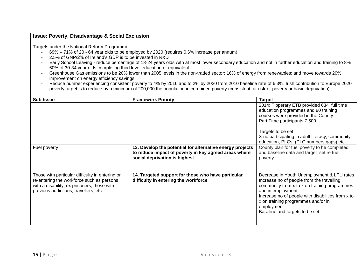- 69% 71% of 20 64 year olds to be employed by 2020 (requires 0.6% increase per annum)
- 2.5% of GNP/2% of Ireland's GDP is to be invested in R&D
- Early School Leaving reduce percentage of 18-24 years olds with at most lower secondary education and not in further education and training to 8%
- 60% of 30-34 year olds completing third level education or equivalent
- Greenhouse Gas emissions to be 20% lower than 2005 levels in the non-traded sector; 16% of energy from renewables; and move towards 20% improvement on energy efficiency savings
- Reduce number experiencing consistent poverty to 4% by 2016 and to 2% by 2020 from 2010 baseline rate of 6.3%. Irish contribution to Europe 2020 poverty target is to reduce by a minimum of 200,000 the population in combined poverty (consistent, at-risk-of-poverty or basic deprivation).

| <b>Sub-Issue</b>                                                                                                                                                                    | <b>Framework Priority</b>                                                                                                                           | <b>Target</b>                                                                                                                                                                                                                                                                                           |
|-------------------------------------------------------------------------------------------------------------------------------------------------------------------------------------|-----------------------------------------------------------------------------------------------------------------------------------------------------|---------------------------------------------------------------------------------------------------------------------------------------------------------------------------------------------------------------------------------------------------------------------------------------------------------|
|                                                                                                                                                                                     |                                                                                                                                                     | 2014: Tipperary ETB provided 634 full time<br>education programmes and 80 training<br>courses were provided in the County:<br>Part Time participants 7,500<br>Targets to be set                                                                                                                         |
|                                                                                                                                                                                     |                                                                                                                                                     | X no participating in adult literacy, community<br>education, PLCs (PLC numbers gaps) etc                                                                                                                                                                                                               |
| Fuel poverty                                                                                                                                                                        | 13. Develop the potential for alternative energy projects<br>to reduce impact of poverty in key agreed areas where<br>social deprivation is highest | County plan for fuel poverty to be completed<br>and baseline data and target set re fuel<br>poverty                                                                                                                                                                                                     |
| Those with particular difficulty in entering or<br>re-entering the workforce such as persons<br>with a disability; ex prisoners; those with<br>previous addictions; travellers; etc | 14. Targeted support for those who have particular<br>difficulty in entering the workforce                                                          | Decrease in Youth Unemployment & LTU rates<br>Increase no of people from the travelling<br>community from x to x on training programmes<br>and in employment<br>Increase no of people with disabilities from x to<br>x on training programmes and/or in<br>employment<br>Baseline and targets to be set |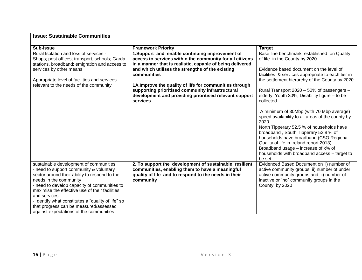| <b>Issue: Sustainable Communities</b>                                                                                                                                                                                                                                                                                                                                                                                     |                                                                                                                                                                                                                                                                                                                                                                                                                                 |                                                                                                                                                                                                                                                                                                                                                                                                                                           |  |  |  |
|---------------------------------------------------------------------------------------------------------------------------------------------------------------------------------------------------------------------------------------------------------------------------------------------------------------------------------------------------------------------------------------------------------------------------|---------------------------------------------------------------------------------------------------------------------------------------------------------------------------------------------------------------------------------------------------------------------------------------------------------------------------------------------------------------------------------------------------------------------------------|-------------------------------------------------------------------------------------------------------------------------------------------------------------------------------------------------------------------------------------------------------------------------------------------------------------------------------------------------------------------------------------------------------------------------------------------|--|--|--|
| <b>Sub-Issue</b>                                                                                                                                                                                                                                                                                                                                                                                                          | <b>Framework Priority</b>                                                                                                                                                                                                                                                                                                                                                                                                       | <b>Target</b>                                                                                                                                                                                                                                                                                                                                                                                                                             |  |  |  |
| Rural Isolation and loss of services -<br>Shops; post offices; transport, schools; Garda<br>stations, broadband; emigration and access to<br>services by other means<br>Appropriate level of facilities and services<br>relevant to the needs of the community                                                                                                                                                            | 1.Support and enable continuing improvement of<br>access to services within the community for all citizens<br>in a manner that is realistic, capable of being delivered<br>and which utilises the strengths of the existing<br>communities<br>1A. Improve the quality of life for communities through<br>supporting prioritised community infrastructural<br>development and providing prioritised relevant support<br>services | Base line benchmark established on Quality<br>of life in the County by 2020<br>Evidence based document on the level of<br>facilities & services appropriate to each tier in<br>the settlement hierarchy of the County by 2020<br>Rural Transport 2020 - 50% of passengers -<br>elderly; Youth 30%; Disability figure - to be<br>collected<br>A minimum of 30Mbp (with 70 Mbp average)<br>speed availability to all areas of the county by |  |  |  |
|                                                                                                                                                                                                                                                                                                                                                                                                                           |                                                                                                                                                                                                                                                                                                                                                                                                                                 | 2020<br>North Tipperary 52.5 % of households have<br>broadband, South Tipperary 52.8 % of<br>households have broadband (CSO Regional<br>Quality of life in Ireland report 2013)<br>Broadband usage $-$ increase of $x\%$ of<br>households with broadband access - target to<br>be set                                                                                                                                                     |  |  |  |
| sustainable development of communities<br>- need to support community & voluntary<br>sector around their ability to respond to the<br>needs in the community<br>- need to develop capacity of communities to<br>maximise the effective use of their facilities<br>and services<br>-I dentify what constitutes a "quality of life" so<br>that progress can be measured/assessed<br>against expectations of the communities | 2. To support the development of sustainable resilient<br>communities, enabling them to have a meaningful<br>quality of life and to respond to the needs in their<br>community                                                                                                                                                                                                                                                  | Evidenced Based Document on i) number of<br>active community groups; ii) number of under<br>active community groups and iii) number of<br>inactive or "no" community groups in the<br>County by 2020                                                                                                                                                                                                                                      |  |  |  |